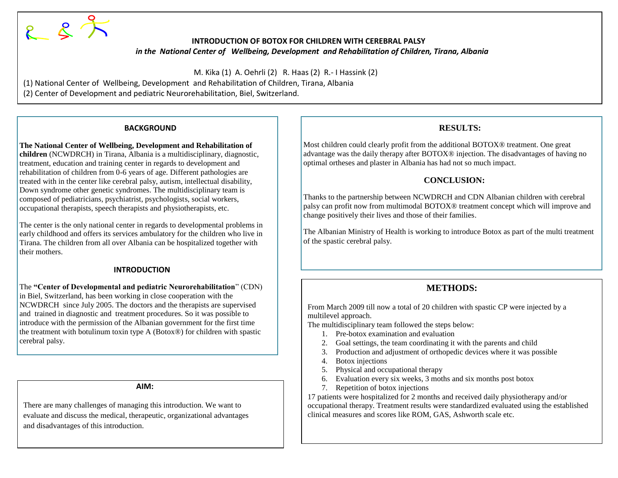

#### **INTRODUCTION OF BOTOX FOR CHILDREN WITH CEREBRAL PALSY** *in the National Center of Wellbeing, Development and Rehabilitation of Children, Tirana, Albania*

M. Kika (1) A. Oehrli (2) R. Haas (2) R.- I Hassink (2)

(1) National Center of Wellbeing, Development and Rehabilitation of Children, Tirana, Albania

(2) Center of Development and pediatric Neurorehabilitation, Biel, Switzerland.

#### **BACKGROUND**

**The National Center of Wellbeing, Development and Rehabilitation of children** (NCWDRCH) in Tirana, Albania is a multidisciplinary, diagnostic, treatment, education and training center in regards to development and rehabilitation of children from 0-6 years of age. Different pathologies are treated with in the center like cerebral palsy, autism, intellectual disability, Down syndrome other genetic syndromes. The multidisciplinary team is composed of pediatricians, psychiatrist, psychologists, social workers, occupational therapists, speech therapists and physiotherapists, etc.

The center is the only national center in regards to developmental problems in early childhood and offers its services ambulatory for the children who live in Tirana. The children from all over Albania can be hospitalized together with their mothers.

### **INTRODUCTION**

The **"Center of Developmental and pediatric Neurorehabilitation**" (CDN) in Biel, Switzerland, has been working in close cooperation with the NCWDRCH since July 2005. The doctors and the therapists are supervised and trained in diagnostic and treatment procedures. So it was possible to introduce with the permission of the Albanian government for the first time the treatment with botulinum toxin type A (Botox®) for children with spastic cerebral palsy.

#### **AIM:**

There are many challenges of managing this introduction. We want to evaluate and discuss the medical, therapeutic, organizational advantages and disadvantages of this introduction.

## **RESULTS:**

Most children could clearly profit from the additional BOTOX® treatment. One great advantage was the daily therapy after BOTOX® injection. The disadvantages of having no optimal ortheses and plaster in Albania has had not so much impact.

#### **CONCLUSION:**

Thanks to the partnership between NCWDRCH and CDN Albanian children with cerebral palsy can profit now from multimodal BOTOX® treatment concept which will improve and change positively their lives and those of their families.

The Albanian Ministry of Health is working to introduce Botox as part of the multi treatment of the spastic cerebral palsy.

# **METHODS:**

From March 2009 till now a total of 20 children with spastic CP were injected by a multilevel approach.

The multidisciplinary team followed the steps below:

- 1. Pre-botox examination and evaluation
- 2. Goal settings, the team coordinating it with the parents and child
- 3. Production and adjustment of orthopedic devices where it was possible
- 4. Botox injections
- 5. Physical and occupational therapy
- 6. Evaluation every six weeks, 3 moths and six months post botox
- 7. Repetition of botox injections

17 patients were hospitalized for 2 months and received daily physiotherapy and/or occupational therapy. Treatment results were standardized evaluated using the established clinical measures and scores like ROM, GAS, Ashworth scale etc.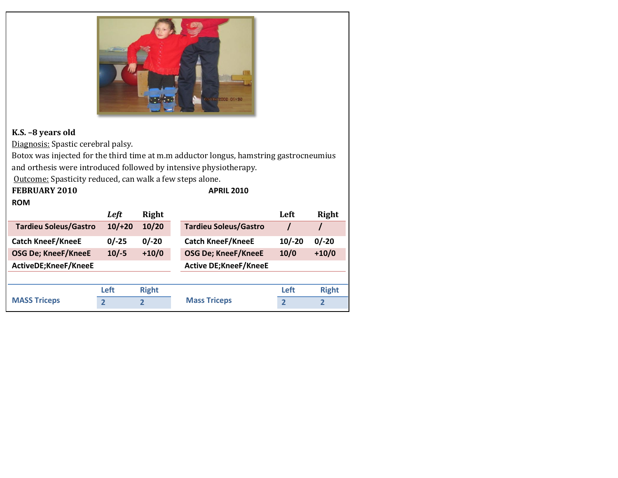

# **K.S. –8 years old**

Diagnosis: Spastic cerebral palsy.

Botox was injected for the third time at m.m adductor longus, hamstring gastrocneumius and orthesis were introduced followed by intensive physiotherapy.

Outcome: Spasticity reduced, can walk a few steps alone. **FEBRUARY 2010 APRIL 2010**

### **ROM**

|                              | Left           | Right        |                              | Left           | Right          |
|------------------------------|----------------|--------------|------------------------------|----------------|----------------|
| <b>Tardieu Soleus/Gastro</b> | $10/+20$       | 10/20        | <b>Tardieu Soleus/Gastro</b> |                |                |
| <b>Catch KneeF/KneeE</b>     | $0/-25$        | $0/-20$      | <b>Catch KneeF/KneeE</b>     | $10/-20$       | $0/-20$        |
| <b>OSG De; KneeF/KneeE</b>   | $10/-5$        | $+10/0$      | <b>OSG De; KneeF/KneeE</b>   | 10/0           | $+10/0$        |
| ActiveDE;KneeF/KneeE         |                |              | <b>Active DE;KneeF/KneeE</b> |                |                |
|                              |                |              |                              |                |                |
| <b>MASS Triceps</b>          | Left           | <b>Right</b> |                              | Left           | <b>Right</b>   |
|                              | $\overline{2}$ | 2            | <b>Mass Triceps</b>          | $\overline{2}$ | $\overline{2}$ |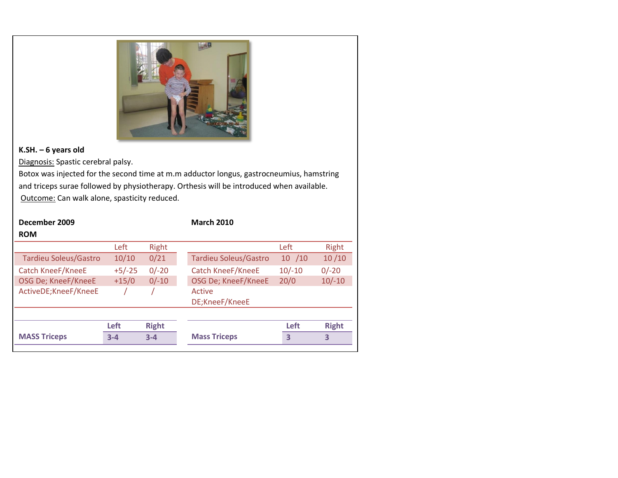

### **K.SH. – 6 years old**

Diagnosis: Spastic cerebral palsy.

Botox was injected for the second time at m.m adductor longus, gastrocneumius, hamstring and triceps surae followed by physiotherapy. Orthesis will be introduced when available. Outcome: Can walk alone, spasticity reduced.

| December 2009<br><b>ROM</b>  |          |              | <b>March 2010</b>            |          |              |
|------------------------------|----------|--------------|------------------------------|----------|--------------|
|                              | Left     | Right        |                              | Left     | Right        |
| <b>Tardieu Soleus/Gastro</b> | 10/10    | 0/21         | <b>Tardieu Soleus/Gastro</b> | 10 / 10  | 10/10        |
| <b>Catch KneeF/KneeE</b>     | $+5/-25$ | $0/-20$      | Catch KneeF/KneeE            | $10/-10$ | $0/-20$      |
| OSG De; KneeF/KneeE          | $+15/0$  | $0/-10$      | OSG De; KneeF/KneeE          | 20/0     | $10/-10$     |
| ActiveDE;KneeF/KneeE         |          |              | Active<br>DE;KneeF/KneeE     |          |              |
|                              |          |              |                              |          |              |
|                              | Left     | <b>Right</b> |                              | Left     | <b>Right</b> |
| <b>MASS Triceps</b>          | $3 - 4$  | $3 - 4$      | <b>Mass Triceps</b>          | 3        | 3            |
|                              |          |              |                              |          |              |